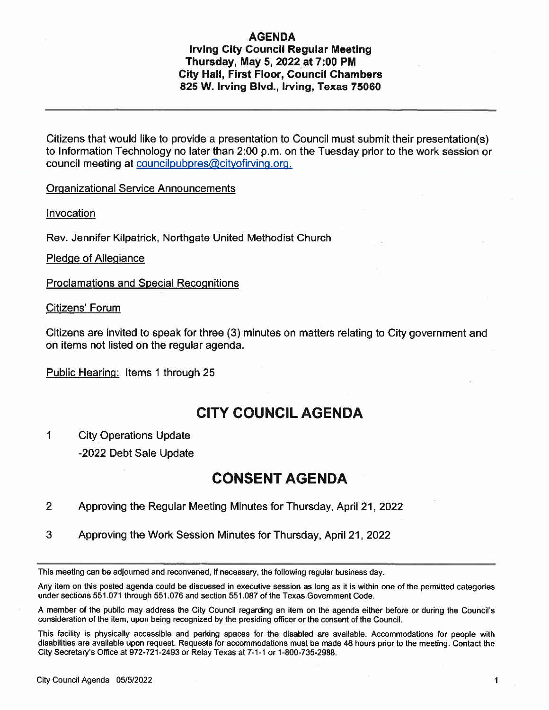## AGENDA

### Irving City Council Regular Meeting Thursday, May 5, 2022 at 7:00 PM City Hall, First Floor, Council Chambers 825 W. Irving Blvd., Irving, Texas 75060

Citizens that would like to provide <sup>a</sup> presentation to Council must submit their presentation(s) to Information Technology no later than 2:00 p.m. on the Tuesday prior to the work session or council meeting at councilpubpres@cityofirving.org.

Organizational Service Announcements

Invocation

Rev. Jennifer Kilpatrick, Northgate United Methodist Church

Pledge of Allegiance

Proclamations and Special Recognitions

Citizens' Forum

Citizens are invited to speak for three (3) minutes on matters relating to City governmen<sup>t</sup> and on items not listed on the regular agenda.

Public Hearing: Items 1 through 25

# CITY COUNCIL AGENDA

- 1 City Operations Update
	- -2022 Debt Sale Update

## CONSENT AGENDA

- 2 Approving the Regular Meeting Minutes for Thursday, April 21, 2022
- 3 Approving the Work Session Minutes for Thursday, April 21, 2022

This meeting can be adioumed and reconvened, if necessary, the following regular business day.

Any item on this posted agenda could be discussed in executive session as long as it is within one of the permitted categories under sections 551.071 through 551.076 and section 551.087 of the Texas Government code.

<sup>A</sup> member of the public may address the City Council regarding an item on the agenda either before or during the Councils consideration of the item, upon being recognized by the presiding officer or the consent of the Council.

This facility is <sup>p</sup>hysically accessible and parking spaces for the disabled are available. Accommodations for people with disabilities are available upon request. Requests for accommodations must be made <sup>48</sup> hours prior to the meeting. Contact the City Secretary's Office at 972-721-2493 or Relay Texas at 7-1-1 or 1-800-735-2988.

 $\mathbf 1$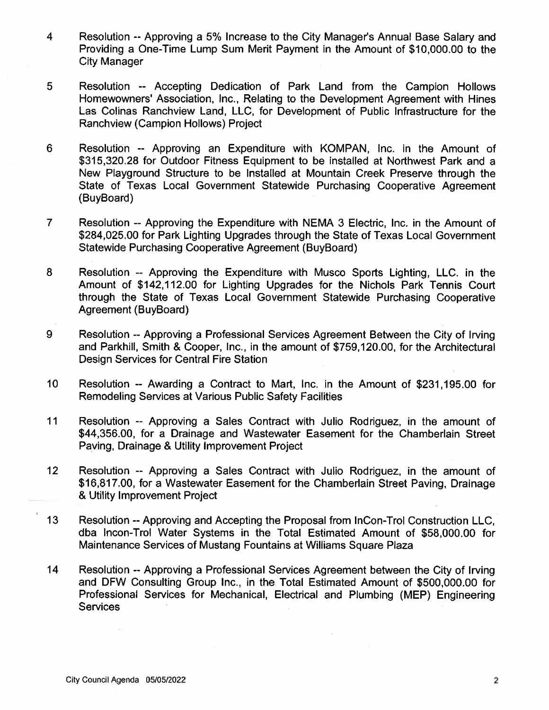- 4 Resolution --Approving <sup>a</sup> 5% Increase to the City Manager's Annual Base Salary and Providing <sup>a</sup> One-Time Lump Sum Merit Payment in the Amount of \$10,000.00 to the City Manager
- 5 Resolution -- Accepting Dedication of Park Land from the Campion Hollows Homewowners' Association, Inc., Relating to the Development Agreement with Hines Las Colinas Ranchview Land, LLC, for Development of Public Infrastructure for the Ranchview (Campion Hollows) Project
- 6 Resolution -- Approving an Expenditure with KOMPAN, Inc. in the Amount of \$315,320.28 for Outdoor Fitness Equipment to be installed at Northwest Park and <sup>a</sup> New Playground Structure to be Installed at Mountain Creek Preserve through the State of Texas Local Government Statewide Purchasing Cooperative Agreement (BuyBoard)
- 7 Resolution --Approving the Expenditure with NEMA 3 Electric, Inc. in the Amount of S284,025.00 for Park Lighting Upgrades through the State of Texas Local Government Statewide Purchasing Cooperative Agreement (BuyBoard)
- 8 Resolution -- Approving the Expenditure with Musco Sports Lighting, LLC. in the Amount of \$142,112.00 for Lighting Upgrades for the Nichols Park Tennis Court through the State of Texas Local Government Statewide Purchasing Cooperative Agreement (BuyBoard)
- 9 Resolution --Approving <sup>a</sup> Professional Services Agreement Between the City of Irving and Parkhill, Smith & Cooper, Inc., in the amount of \$759,120.00, for the Architectural Design Services for Central Fire Station
- 10 Resolution -- Awarding <sup>a</sup> Contract to Mart, Inc. in the Amount of \$231,195.00 for Remodeling Services at Various Public Safety Facilities
- 11 Resolution -- Approving <sup>a</sup> Sales Contract with Julio Rodriguez, in the amount of \$44,356.00, for <sup>a</sup> Drainage and Wastewater Easement for the Chamberlain Street Paving, Drainage & Utility Improvement Project
- 12 Resolution -- Approving <sup>a</sup> Sales Contract with Julio Rodriguez, in the amount of \$16,817.00, for <sup>a</sup> Wastewater Easement for the Chamberlain Street Paving, Drainage & Utility Improvement Project
- 13 Resolution--Approving and Accepting the Proposal from InCon-Trol Construction LLC, dba Incon-Trol Water Systems in the Total Estimated Amount of \$58,000.00 for Maintenance Services of Mustang Fountains at Williams Square Plaza
- <sup>14</sup> Resolution --Approving <sup>a</sup> Professional Services Agreement between the City of Irving and DFW Consulting Group Inc., in the Total Estimated Amount of \$500,000.00 for Professional Services for Mechanical, Electrical and Plumbing (MEP) Engineering **Services**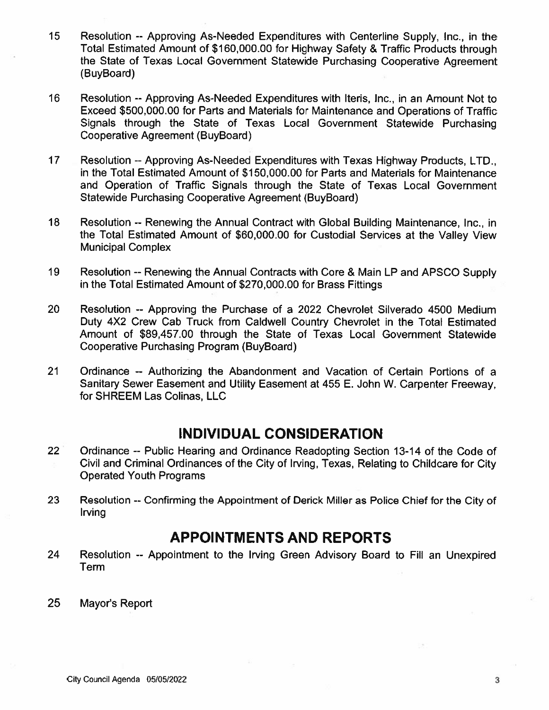- 15 Resolution -- Approving As-Needed Expenditures with Centerline Supply, Inc., in the Total Estimated Amount of \$160,000.00 for Highway Safety & Traffic Products through the State of Texas Local Government Statewide Purchasing Cooperative Agreement (BuyBoard)
- 16 Resolution --Approving As-Needed Expenditures with Iteris, Inc.. in an Amount Not to Exceed \$500,000.00 for Parts and Materials for Maintenance and Operations of Traffic Signals through the State of Texas Local Government Statewide Purchasing Cooperative Agreement (BuyBoard)
- 17 Resolution -- Approving As-Needed Expenditures with Texas Highway Products, LTD., in the Total Estimated Amount of \$1 50,000.00 for Parts and Materials for Maintenance and Operation of Traffic Signals through the State of Texas Local Government Statewide Purchasing Cooperative Agreement (BuyBoard)
- 18 Resolution -- Renewing the Annual Contract with Global Building Maintenance, Inc., in the Total Estimated Amount of \$60,000.00 for Custodial Services at the Valley View Municipal Complex
- 19 Resolution --Renewing the Annual Contracts with Core & Main LP and APSCO Supply in the Total Estimated Amount of \$270,000.00 for Brass Fittings
- 20 Resolution -- Approving the Purchase of <sup>a</sup> 2022 Chevrolet Silverado 4500 Medium Duty 4X2 Crew Cab Truck from CaIdwell Country Chevrolet in the Total Estimated Amount of \$89,457.00 through the State of Texas Local Government Statewide Cooperative Purchasing Program (BuyBoard)
- 21 Ordinance -- Authorizing the Abandonment and Vacation of Certain Portions of <sup>a</sup> Sanitary Sewer Easement and Utility Easement at 455 E. John W. Carpenter Freeway, for SHREEM Las Colinas, LLC

# INDIVIDUAL CONSIDERATION

- 22 Ordinance -- Public Hearing and Ordinance Readopting Section 13-14 of the Code of Civil and Criminal Ordinances of the City of Irving, Texas, Relating to Childcare for City Operated Youth Programs
- 23 Resolution -- Confirming the Appointment of Derick Miller as Police Chief for the City of Irving

# APPOINTMENTS AND REPORTS

- 24 Resolution -- Appointment to the Irving Green Advisory Board to Fill an Unexpired Term
- 25 Mayor's Report